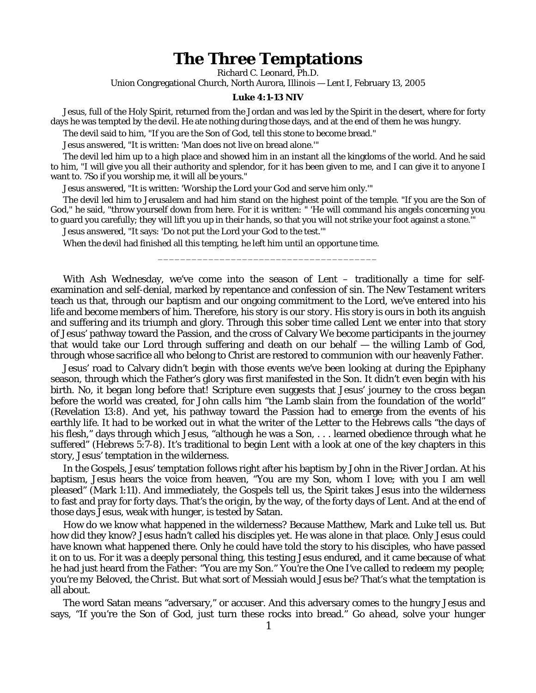## **The Three Temptations**

Richard C. Leonard, Ph.D.

Union Congregational Church, North Aurora, Illinois — Lent I, February 13, 2005

## **Luke 4:1-13 NIV**

Jesus, full of the Holy Spirit, returned from the Jordan and was led by the Spirit in the desert, where for forty days he was tempted by the devil. He ate nothing during those days, and at the end of them he was hungry.

The devil said to him, "If you are the Son of God, tell this stone to become bread."

Jesus answered, "It is written: 'Man does not live on bread alone.'"

The devil led him up to a high place and showed him in an instant all the kingdoms of the world. And he said to him, "I will give you all their authority and splendor, for it has been given to me, and I can give it to anyone I want to. 7So if you worship me, it will all be yours."

Jesus answered, "It is written: 'Worship the Lord your God and serve him only.'"

The devil led him to Jerusalem and had him stand on the highest point of the temple. "If you are the Son of God," he said, "throw yourself down from here. For it is written: " 'He will command his angels concerning you to guard you carefully; they will lift you up in their hands, so that you will not strike your foot against a stone.'"

\_\_\_\_\_\_\_\_\_\_\_\_\_\_\_\_\_\_\_\_\_\_\_\_\_\_\_\_\_\_\_\_\_\_\_\_\_\_\_

Jesus answered, "It says: 'Do not put the Lord your God to the test.'"

When the devil had finished all this tempting, he left him until an opportune time.

With Ash Wednesday, we've come into the season of Lent – traditionally a time for selfexamination and self-denial, marked by repentance and confession of sin. The New Testament writers teach us that, through our baptism and our ongoing commitment to the Lord, we've entered into his life and become members of him. Therefore, *his story is our story.* His story is ours in both its anguish and suffering and its triumph and glory. Through this sober time called Lent we enter into that story of Jesus' pathway toward the Passion, and the cross of Calvary We become participants in the journey that would take our Lord through suffering and death on our behalf — the willing Lamb of God, through whose sacrifice all who belong to Christ are restored to communion with our heavenly Father.

Jesus' road to Calvary didn't begin with those events we've been looking at during the Epiphany season, through which the Father's glory was first manifested in the Son. It didn't even begin with his birth. No, it began long before that! Scripture even suggests that Jesus' journey to the cross began before the world was created, for John calls him "the Lamb slain from the foundation of the world" (Revelation 13:8). And yet, his pathway toward the Passion had to emerge from the events of his earthly life. It had to be worked out in what the writer of the Letter to the Hebrews calls "the days of his flesh," days through which Jesus, "although he was a Son, . . . learned obedience through what he suffered" (Hebrews 5:7-8). It's traditional to begin Lent with a look at one of the key chapters in this story, Jesus' temptation in the wilderness.

In the Gospels, Jesus' temptation follows right after his baptism by John in the River Jordan. At his baptism, Jesus hears the voice from heaven, "You are my Son, whom I love; with you I am well pleased" (Mark 1:11). And immediately, the Gospels tell us, the Spirit takes Jesus into the wilderness to fast and pray for forty days. That's the origin, by the way, of the forty days of Lent. And at the end of those days Jesus, weak with hunger, is tested by Satan.

How do we know what happened in the wilderness? Because Matthew, Mark and Luke tell us. But how did they know? Jesus hadn't called his disciples yet. He was alone in that place. Only Jesus could have known what happened there. Only he could have told the story to his disciples, who have passed it on to us. For it was a deeply personal thing, this testing Jesus endured, and it came because of what he had just heard from the Father: "You are my Son." *You're the One I've called to redeem my people; you're my Beloved, the Christ.* But what sort of Messiah would Jesus be? That's what the temptation is all about.

The word Satan means "adversary," or accuser. And this adversary comes to the hungry Jesus and says, "If you're the Son of God, just turn these rocks into bread." *Go ahead, solve your hunger*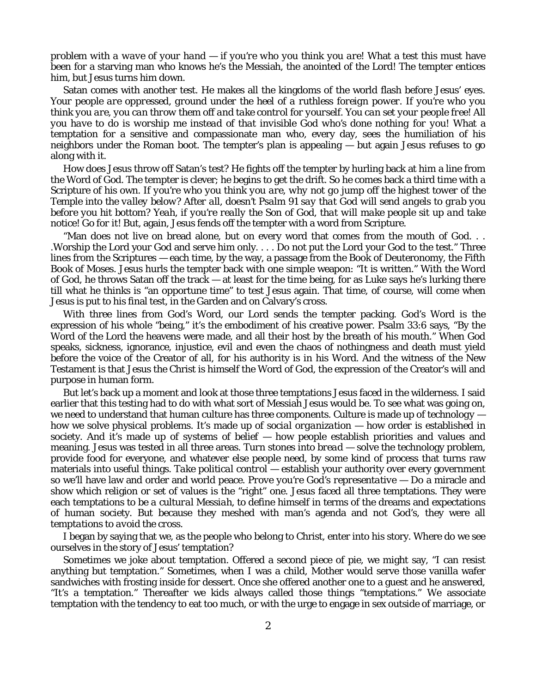*problem with a wave of your hand — if you're who you think you are!* What a test this must have been for a starving man who knows he's the Messiah, the anointed of the Lord! The tempter entices him, but Jesus turns him down.

Satan comes with another test. He makes all the kingdoms of the world flash before Jesus' eyes. *Your people are oppressed, ground under the heel of a ruthless foreign power. If you're who you think you are, you can throw them off and take control for yourself. You can set your people free! All you have to do is worship* me *instead of that invisible God who's done nothing for you!* What a temptation for a sensitive and compassionate man who, every day, sees the humiliation of his neighbors under the Roman boot. The tempter's plan is appealing — but again Jesus refuses to go along with it.

How does Jesus throw off Satan's test? He fights off the tempter by hurling back at him a line from the Word of God. The tempter is clever; he begins to get the drift. So he comes back a third time with a Scripture of his own. *If you're who you think you are, why not go jump off the highest tower of the Temple into the valley below? After all, doesn't Psalm 91 say that God will send angels to grab you before you hit bottom? Yeah, if you're really the Son of God, that will make people sit up and take notice! Go for it!* But, again, Jesus fends off the tempter with a word from Scripture.

"Man does not live on bread alone, but on every word that comes from the mouth of God. . . .Worship the Lord your God and serve him only. . . . Do not put the Lord your God to the test." Three lines from the Scriptures — each time, by the way, a passage from the Book of Deuteronomy, the Fifth Book of Moses. Jesus hurls the tempter back with one simple weapon: "It is written." With the Word of God, he throws Satan off the track — at least for the time being, for as Luke says he's lurking there till what he thinks is "an opportune time" to test Jesus again. That time, of course, will come when Jesus is put to his final test, in the Garden and on Calvary's cross.

With three lines from God's Word, our Lord sends the tempter packing. God's Word is the expression of his whole "being," it's the embodiment of his creative power. Psalm 33:6 says, "By the Word of the Lord the heavens were made, and all their host by the breath of his mouth." When God speaks, sickness, ignorance, injustice, evil and even the chaos of nothingness and death must yield before the voice of the Creator of all, for his authority is in his Word. And the witness of the New Testament is that Jesus the Christ is himself the Word of God, the expression of the Creator's will and purpose in human form.

But let's back up a moment and look at those three temptations Jesus faced in the wilderness. I said earlier that this testing had to do with what sort of Messiah Jesus would be. To see what was going on, we need to understand that human culture has three components. Culture is made up of *technology* how we solve physical problems. It's made up of *social organization* — how order is established in society. And it's made up of *systems of belief* — how people establish priorities and values and meaning. Jesus was tested in all three areas. *Turn stones into bread* — solve the technology problem, provide food for everyone, and whatever else people need, by some kind of process that turns raw materials into useful things. *Take political control* — establish your authority over every government so we'll have law and order and world peace. *Prove you're God's representative* — Do a miracle and show which religion or set of values is the "right" one. Jesus faced all three temptations. They were each temptations to be *a cultural Messiah*, to define himself in terms of the dreams and expectations of human society. But because they meshed with man's agenda and not God's, they were all *temptations to avoid the cross.*

I began by saying that we, as the people who belong to Christ, enter into his story. Where do we see ourselves in the story of Jesus' temptation?

Sometimes we joke about temptation. Offered a second piece of pie, we might say, "I can resist anything but temptation." Sometimes, when I was a child, Mother would serve those vanilla wafer sandwiches with frosting inside for dessert. Once she offered another one to a guest and he answered, "It's a temptation." Thereafter we kids always called those things "temptations." We associate temptation with the tendency to eat too much, or with the urge to engage in sex outside of marriage, or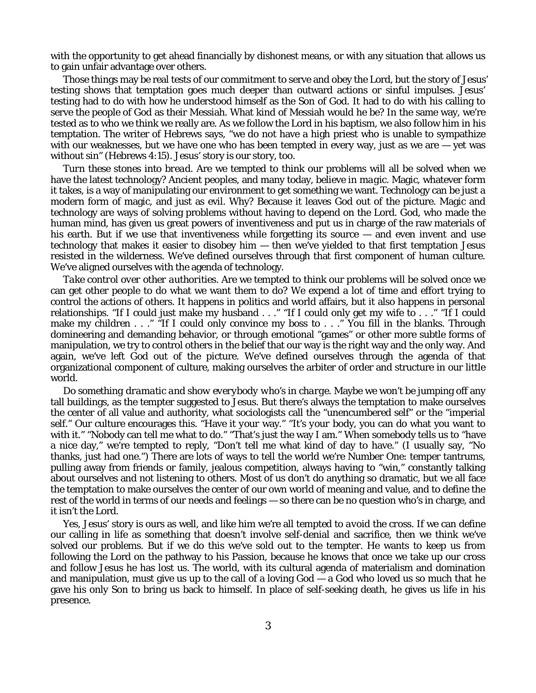with the opportunity to get ahead financially by dishonest means, or with any situation that allows us to gain unfair advantage over others.

Those things may be real tests of our commitment to serve and obey the Lord, but the story of Jesus' testing shows that temptation goes much deeper than outward actions or sinful impulses. Jesus' testing had to do with how he understood himself as the Son of God. It had to do with his calling to serve the people of God as their Messiah. What kind of Messiah would he be? In the same way, we're tested as to who we think we really are. As we follow the Lord in his baptism, we also follow him in his temptation. The writer of Hebrews says, "we do not have a high priest who is unable to sympathize with our weaknesses, but we have one who has been tempted in every way, just as we are  $-$  yet was without sin" (Hebrews 4:15). Jesus' story is our story, too.

*Turn these stones into bread.* Are we tempted to think our problems will all be solved when we have the latest technology? Ancient peoples, and many today, believe in *magic.* Magic, whatever form it takes, is a way of manipulating our environment to get something we want. Technology can be just a modern form of magic, and just as evil. Why? Because it leaves God out of the picture. Magic and technology are ways of solving problems without having to depend on the Lord. God, who made the human mind, has given us great powers of inventiveness and put us in charge of the raw materials of his earth. But if we use that inventiveness while forgetting its source — and even invent and use technology that makes it easier to disobey him — then we've yielded to that first temptation Jesus resisted in the wilderness. We've defined ourselves through that first component of human culture. We've aligned ourselves with the agenda of technology.

*Take control over other authorities*. Are we tempted to think our problems will be solved once we can get other people to do what we want them to do? We expend a lot of time and effort trying to control the actions of others. It happens in politics and world affairs, but it also happens in personal relationships. "If I could just make my husband . . ." "If I could only get my wife to . . ." "If I could make my children . . ." "If I could only convince my boss to . . ." You fill in the blanks. Through domineering and demanding behavior, or through emotional "games" or other more subtle forms of manipulation, we try to control others in the belief that our way is the right way and the only way. And again, we've left God out of the picture. We've defined ourselves through the agenda of that organizational component of culture, making ourselves the arbiter of order and structure in our little world.

*Do something dramatic and show everybody who's in charge.* Maybe we won't be jumping off any tall buildings, as the tempter suggested to Jesus. But there's always the temptation to make ourselves the center of all value and authority, what sociologists call the "unencumbered self" or the "imperial self." Our culture encourages this. "Have it *your* way." "It's *your* body, you can do what you want to with it." "Nobody can tell *me* what to do." "That's just the way I am." When somebody tells us to "have a nice day," we're tempted to reply, "Don't tell *me* what kind of day to have." (I usually say, "No thanks, just had one.") There are lots of ways to tell the world we're Number One: temper tantrums, pulling away from friends or family, jealous competition, always having to "win," constantly talking about ourselves and not listening to others. Most of us don't do anything so dramatic, but we all face the temptation to make ourselves the center of our own world of meaning and value, and to define the rest of the world in terms of *our* needs and feelings — so there can be no question who's in charge, and it isn't the Lord.

Yes, Jesus' story is ours as well, and like him we're all *tempted to avoid the cross*. If we can define our calling in life as something that doesn't involve self-denial and sacrifice, then we think we've solved our problems. But if we do this we've sold out to the tempter. He wants to keep us from following the Lord on the pathway to his Passion, because he knows that once we take up our cross and follow Jesus he has lost us. The world, with its cultural agenda of materialism and domination and manipulation, must give us up to the call of a loving  $God - a God$  who loved us so much that he gave his only Son to bring us back to himself. In place of self-seeking death, he gives us life in his presence.